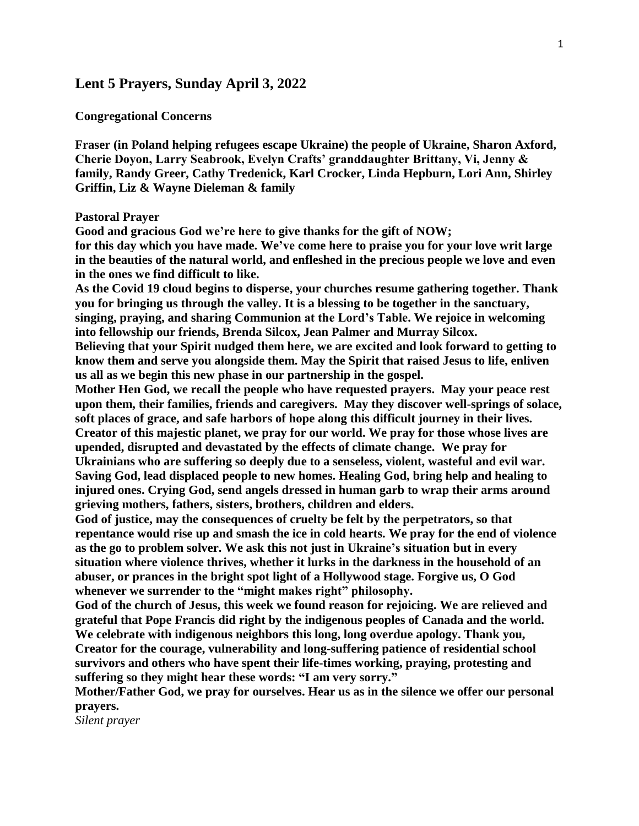# **Lent 5 Prayers, Sunday April 3, 2022**

## **Congregational Concerns**

**Fraser (in Poland helping refugees escape Ukraine) the people of Ukraine, Sharon Axford, Cherie Doyon, Larry Seabrook, Evelyn Crafts' granddaughter Brittany, Vi, Jenny & family, Randy Greer, Cathy Tredenick, Karl Crocker, Linda Hepburn, Lori Ann, Shirley Griffin, Liz & Wayne Dieleman & family**

#### **Pastoral Prayer**

**Good and gracious God we're here to give thanks for the gift of NOW;**

**for this day which you have made. We've come here to praise you for your love writ large in the beauties of the natural world, and enfleshed in the precious people we love and even in the ones we find difficult to like.**

**As the Covid 19 cloud begins to disperse, your churches resume gathering together. Thank you for bringing us through the valley. It is a blessing to be together in the sanctuary, singing, praying, and sharing Communion at the Lord's Table. We rejoice in welcoming into fellowship our friends, Brenda Silcox, Jean Palmer and Murray Silcox.**

**Believing that your Spirit nudged them here, we are excited and look forward to getting to know them and serve you alongside them. May the Spirit that raised Jesus to life, enliven us all as we begin this new phase in our partnership in the gospel.** 

**Mother Hen God, we recall the people who have requested prayers. May your peace rest upon them, their families, friends and caregivers. May they discover well-springs of solace, soft places of grace, and safe harbors of hope along this difficult journey in their lives. Creator of this majestic planet, we pray for our world. We pray for those whose lives are upended, disrupted and devastated by the effects of climate change. We pray for Ukrainians who are suffering so deeply due to a senseless, violent, wasteful and evil war. Saving God, lead displaced people to new homes. Healing God, bring help and healing to injured ones. Crying God, send angels dressed in human garb to wrap their arms around grieving mothers, fathers, sisters, brothers, children and elders.**

**God of justice, may the consequences of cruelty be felt by the perpetrators, so that repentance would rise up and smash the ice in cold hearts. We pray for the end of violence as the go to problem solver. We ask this not just in Ukraine's situation but in every situation where violence thrives, whether it lurks in the darkness in the household of an abuser, or prances in the bright spot light of a Hollywood stage. Forgive us, O God whenever we surrender to the "might makes right" philosophy.** 

**God of the church of Jesus, this week we found reason for rejoicing. We are relieved and grateful that Pope Francis did right by the indigenous peoples of Canada and the world. We celebrate with indigenous neighbors this long, long overdue apology. Thank you, Creator for the courage, vulnerability and long-suffering patience of residential school survivors and others who have spent their life-times working, praying, protesting and suffering so they might hear these words: "I am very sorry."** 

**Mother/Father God, we pray for ourselves. Hear us as in the silence we offer our personal prayers.**

*Silent prayer*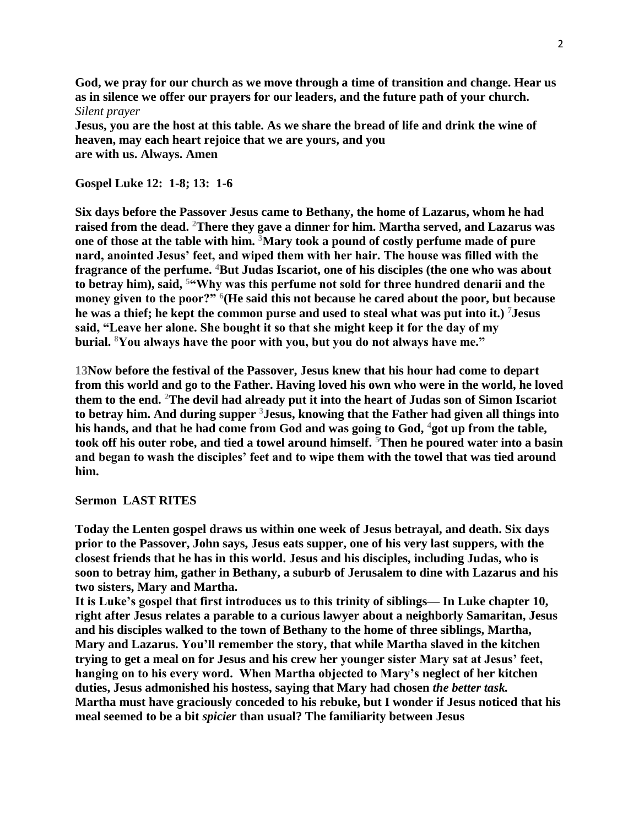**God, we pray for our church as we move through a time of transition and change. Hear us as in silence we offer our prayers for our leaders, and the future path of your church.** *Silent prayer*

**Jesus, you are the host at this table. As we share the bread of life and drink the wine of heaven, may each heart rejoice that we are yours, and you are with us. Always. Amen**

# **Gospel Luke 12: 1-8; 13: 1-6**

**Six days before the Passover Jesus came to Bethany, the home of Lazarus, whom he had raised from the dead. <sup>2</sup>There they gave a dinner for him. Martha served, and Lazarus was one of those at the table with him. <sup>3</sup>Mary took a pound of costly perfume made of pure nard, anointed Jesus' feet, and wiped them with her hair. The house was filled with the fragrance of the perfume. <sup>4</sup>But Judas Iscariot, one of his disciples (the one who was about to betray him), said, <sup>5</sup>"Why was this perfume not sold for three hundred denarii and the money given to the poor?" <sup>6</sup> (He said this not because he cared about the poor, but because he was a thief; he kept the common purse and used to steal what was put into it.) <sup>7</sup>Jesus said, "Leave her alone. She bought it so that she might keep it for the day of my burial. <sup>8</sup>You always have the poor with you, but you do not always have me."**

**13Now before the festival of the Passover, Jesus knew that his hour had come to depart from this world and go to the Father. Having loved his own who were in the world, he loved them to the end. <sup>2</sup>The devil had already put it into the heart of Judas son of Simon Iscariot to betray him. And during supper <sup>3</sup>Jesus, knowing that the Father had given all things into his hands, and that he had come from God and was going to God, <sup>4</sup>got up from the table, took off his outer robe, and tied a towel around himself. <sup>5</sup>Then he poured water into a basin and began to wash the disciples' feet and to wipe them with the towel that was tied around him.**

## **Sermon LAST RITES**

**Today the Lenten gospel draws us within one week of Jesus betrayal, and death. Six days prior to the Passover, John says, Jesus eats supper, one of his very last suppers, with the closest friends that he has in this world. Jesus and his disciples, including Judas, who is soon to betray him, gather in Bethany, a suburb of Jerusalem to dine with Lazarus and his two sisters, Mary and Martha.**

**It is Luke's gospel that first introduces us to this trinity of siblings— In Luke chapter 10, right after Jesus relates a parable to a curious lawyer about a neighborly Samaritan, Jesus and his disciples walked to the town of Bethany to the home of three siblings, Martha, Mary and Lazarus. You'll remember the story, that while Martha slaved in the kitchen trying to get a meal on for Jesus and his crew her younger sister Mary sat at Jesus' feet, hanging on to his every word. When Martha objected to Mary's neglect of her kitchen duties, Jesus admonished his hostess, saying that Mary had chosen** *the better task.* **Martha must have graciously conceded to his rebuke, but I wonder if Jesus noticed that his meal seemed to be a bit** *spicier* **than usual? The familiarity between Jesus**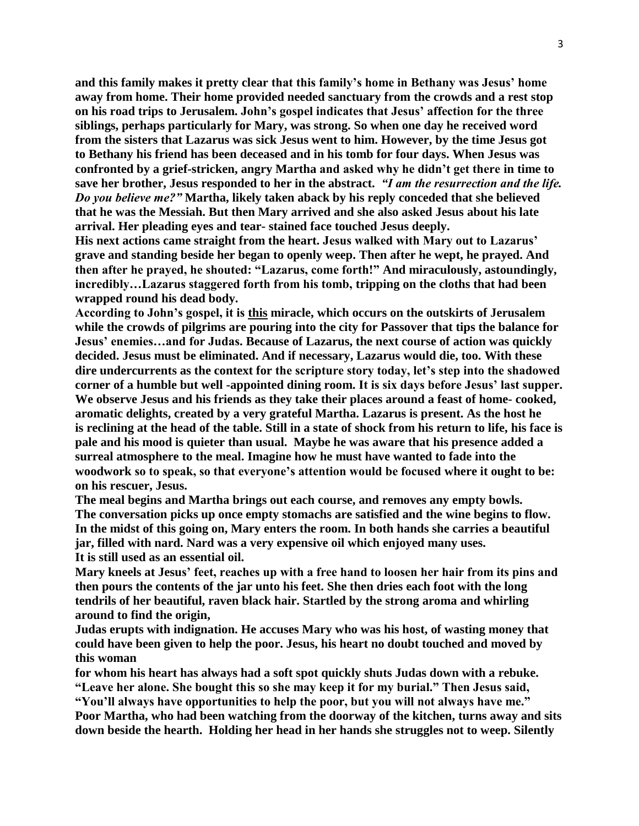**and this family makes it pretty clear that this family's home in Bethany was Jesus' home away from home. Their home provided needed sanctuary from the crowds and a rest stop on his road trips to Jerusalem. John's gospel indicates that Jesus' affection for the three siblings, perhaps particularly for Mary, was strong. So when one day he received word from the sisters that Lazarus was sick Jesus went to him. However, by the time Jesus got to Bethany his friend has been deceased and in his tomb for four days. When Jesus was confronted by a grief-stricken, angry Martha and asked why he didn't get there in time to save her brother, Jesus responded to her in the abstract.** *"I am the resurrection and the life. Do you believe me?"* **Martha, likely taken aback by his reply conceded that she believed that he was the Messiah. But then Mary arrived and she also asked Jesus about his late arrival. Her pleading eyes and tear- stained face touched Jesus deeply.**

**His next actions came straight from the heart. Jesus walked with Mary out to Lazarus' grave and standing beside her began to openly weep. Then after he wept, he prayed. And then after he prayed, he shouted: "Lazarus, come forth!" And miraculously, astoundingly, incredibly…Lazarus staggered forth from his tomb, tripping on the cloths that had been wrapped round his dead body.**

**According to John's gospel, it is this miracle, which occurs on the outskirts of Jerusalem while the crowds of pilgrims are pouring into the city for Passover that tips the balance for Jesus' enemies…and for Judas. Because of Lazarus, the next course of action was quickly decided. Jesus must be eliminated. And if necessary, Lazarus would die, too. With these dire undercurrents as the context for the scripture story today, let's step into the shadowed corner of a humble but well -appointed dining room. It is six days before Jesus' last supper. We observe Jesus and his friends as they take their places around a feast of home- cooked, aromatic delights, created by a very grateful Martha. Lazarus is present. As the host he is reclining at the head of the table. Still in a state of shock from his return to life, his face is pale and his mood is quieter than usual. Maybe he was aware that his presence added a surreal atmosphere to the meal. Imagine how he must have wanted to fade into the woodwork so to speak, so that everyone's attention would be focused where it ought to be: on his rescuer, Jesus.**

**The meal begins and Martha brings out each course, and removes any empty bowls. The conversation picks up once empty stomachs are satisfied and the wine begins to flow. In the midst of this going on, Mary enters the room. In both hands she carries a beautiful jar, filled with nard. Nard was a very expensive oil which enjoyed many uses. It is still used as an essential oil.**

**Mary kneels at Jesus' feet, reaches up with a free hand to loosen her hair from its pins and then pours the contents of the jar unto his feet. She then dries each foot with the long tendrils of her beautiful, raven black hair. Startled by the strong aroma and whirling around to find the origin,**

**Judas erupts with indignation. He accuses Mary who was his host, of wasting money that could have been given to help the poor. Jesus, his heart no doubt touched and moved by this woman**

**for whom his heart has always had a soft spot quickly shuts Judas down with a rebuke. "Leave her alone. She bought this so she may keep it for my burial." Then Jesus said, "You'll always have opportunities to help the poor, but you will not always have me." Poor Martha, who had been watching from the doorway of the kitchen, turns away and sits down beside the hearth. Holding her head in her hands she struggles not to weep. Silently**